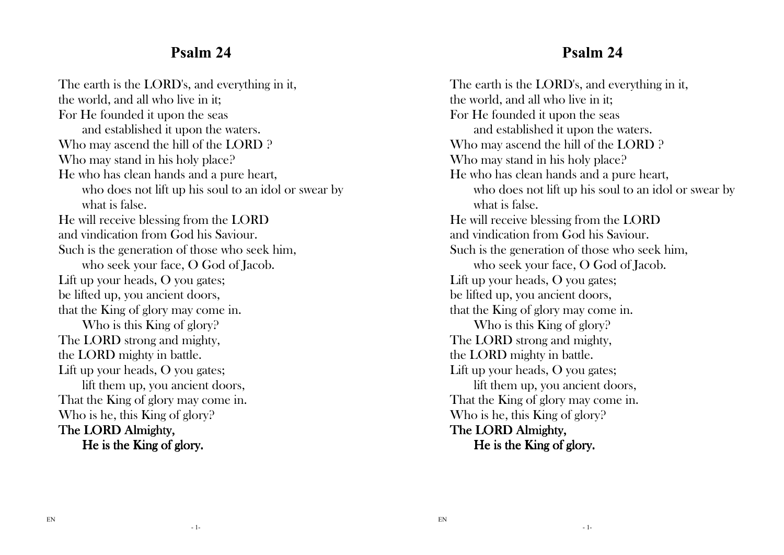#### **Psalm 24**

The earth is the LORD's, and everything in it, the world, and all who live in it; For He founded it upon the seas and established it upon the waters. Who may ascend the hill of the LORD ? Who may stand in his holy place? He who has clean hands and a pure heart, who does not lift up his soul to an idol or swear bywhat is false. He will receive blessing from the LORD and vindication from God his Saviour. Such is the generation of those who seek him, who seek your face, O God of Jacob. Lift up your heads, O you gates; be lifted up, you ancient doors, that the King of glory may come in. Who is this King of glory? The LORD strong and mighty, the LORD mighty in battle. Lift up your heads, O you gates; lift them up, you ancient doors, That the King of glory may come in. Who is he, this King of glory? The LORD Almighty, He is the King of glory.

#### **Psalm 24**

The earth is the LORD's, and everything in it, the world, and all who live in it; For He founded it upon the seas and established it upon the waters. Who may ascend the hill of the LORD ? Who may stand in his holy place? He who has clean hands and a pure heart, who does not lift up his soul to an idol or swear bywhat is false. He will receive blessing from the LORD and vindication from God his Saviour. Such is the generation of those who seek him, who seek your face, O God of Jacob. Lift up your heads, O you gates; be lifted up, you ancient doors, that the King of glory may come in. Who is this King of glory? The LORD strong and mighty, the LORD mighty in battle. Lift up your heads, O you gates; lift them up, you ancient doors, That the King of glory may come in. Who is he, this King of glory? The LORD Almighty, He is the King of glory.

- 1-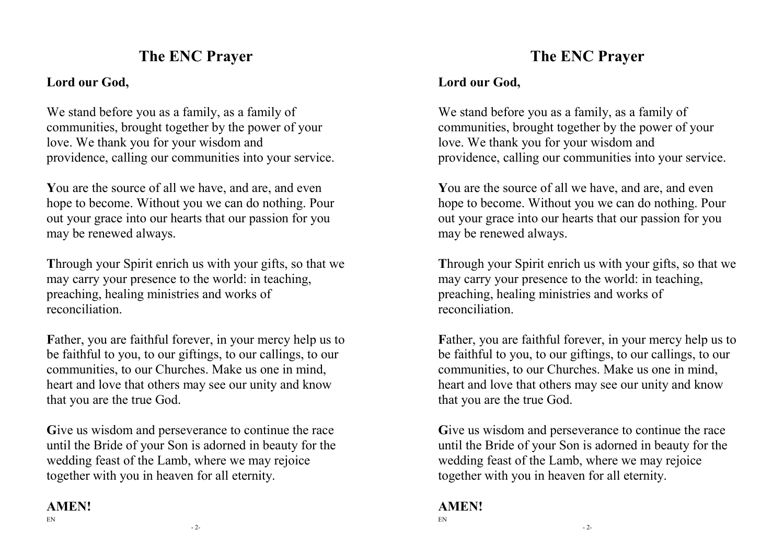# **The ENC Prayer**

#### **Lord our God,**

We stand before you as a family, as a family of communities, brought together by the power of your love. We thank you for your wisdom and providence, calling our communities into your service.

**Y**ou are the source of all we have, and are, and even hope to become. Without you we can do nothing. Pour out your grace into our hearts that our passion for you may be renewed always.

**T**hrough your Spirit enrich us with your gifts, so that we may carry your presence to the world: in teaching, preaching, healing ministries and works of reconciliation.

Father, you are faithful forever, in your mercy help us to be faithful to you, to our giftings, to our callings, to our communities, to our Churches. Make us one in mind, heart and love that others may see our unity and know that you are the true God.

Give us wisdom and perseverance to continue the race until the Bride of your Son is adorned in beauty for the wedding feast of the Lamb, where we may rejoice together with you in heaven for all eternity.

#### **AMEN!**

- 2-

# **The ENC Prayer**

#### **Lord our God,**

We stand before you as a family, as a family of communities, brought together by the power of your love. We thank you for your wisdom and providence, calling our communities into your service.

**Y**ou are the source of all we have, and are, and even hope to become. Without you we can do nothing. Pour out your grace into our hearts that our passion for you may be renewed always.

**T**hrough your Spirit enrich us with your gifts, so that we may carry your presence to the world: in teaching, preaching, healing ministries and works of reconciliation.

Father, you are faithful forever, in your mercy help us to be faithful to you, to our giftings, to our callings, to our communities, to our Churches. Make us one in mind, heart and love that others may see our unity and know that you are the true God.

Give us wisdom and perseverance to continue the race until the Bride of your Son is adorned in beauty for the wedding feast of the Lamb, where we may rejoice together with you in heaven for all eternity.

#### **AMEN!**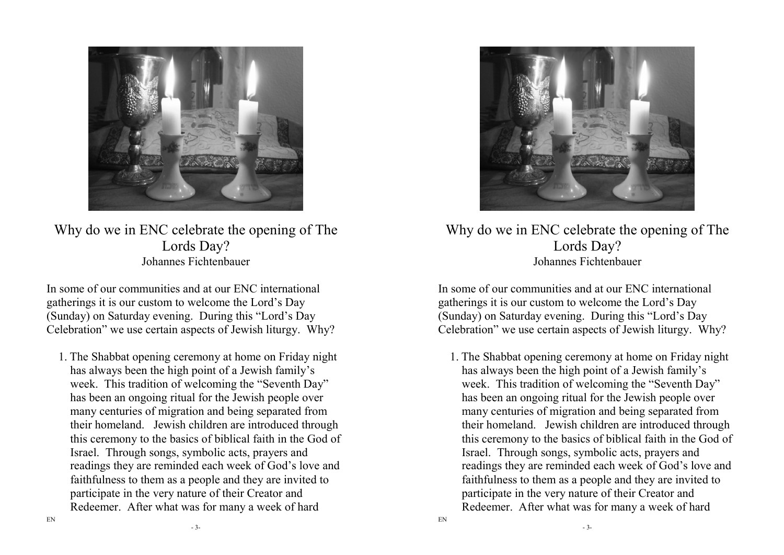

Why do we in ENC celebrate the opening of The Lords Day? Johannes Fichtenbauer

In some of our communities and at our ENC international gatherings it is our custom to welcome the Lord's Day (Sunday) on Saturday evening. During this "Lord's Day Celebration" we use certain aspects of Jewish liturgy. Why?

1. The Shabbat opening ceremony at home on Friday night has always been the high point of a Jewish family's week. This tradition of welcoming the "Seventh Day" has been an ongoing ritual for the Jewish people over many centuries of migration and being separated from their homeland. Jewish children are introduced through this ceremony to the basics of biblical faith in the God of Israel. Through songs, symbolic acts, prayers and readings they are reminded each week of God's love and faithfulness to them as a people and they are invited to participate in the very nature of their Creator andRedeemer. After what was for many a week of hard



Why do we in ENC celebrate the opening of The Lords Day? Johannes Fichtenbauer

In some of our communities and at our ENC international gatherings it is our custom to welcome the Lord's Day (Sunday) on Saturday evening. During this "Lord's Day Celebration" we use certain aspects of Jewish liturgy. Why?

1. The Shabbat opening ceremony at home on Friday night has always been the high point of a Jewish family's week. This tradition of welcoming the "Seventh Day" has been an ongoing ritual for the Jewish people over many centuries of migration and being separated from their homeland. Jewish children are introduced through this ceremony to the basics of biblical faith in the God of Israel. Through songs, symbolic acts, prayers and readings they are reminded each week of God's love and faithfulness to them as a people and they are invited to participate in the very nature of their Creator andRedeemer. After what was for many a week of hard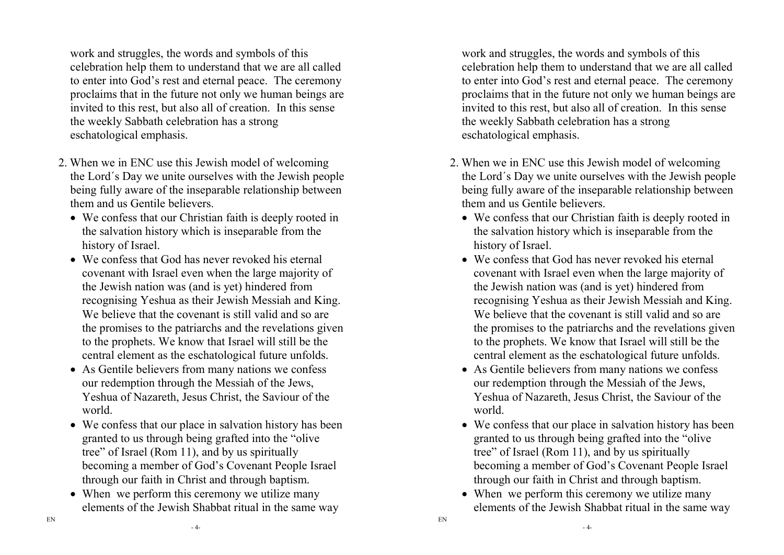work and struggles, the words and symbols of this celebration help them to understand that we are all called to enter into God's rest and eternal peace. The ceremony proclaims that in the future not only we human beings are invited to this rest, but also all of creation. In this sense the weekly Sabbath celebration has a strong eschatological emphasis.

- 2. When we in ENC use this Jewish model of welcoming the Lord´s Day we unite ourselves with the Jewish people being fully aware of the inseparable relationship between them and us Gentile believers.
	- We confess that our Christian faith is deeply rooted in the salvation history which is inseparable from thehistory of Israel.
	- We confess that God has never revoked his eternal covenant with Israel even when the large majority of the Jewish nation was (and is yet) hindered from recognising Yeshua as their Jewish Messiah and King. We believe that the covenant is still valid and so are the promises to the patriarchs and the revelations given to the prophets. We know that Israel will still be the central element as the eschatological future unfolds.
	- As Gentile believers from many nations we confess our redemption through the Messiah of the Jews, Yeshua of Nazareth, Jesus Christ, the Saviour of the world.
	- We confess that our place in salvation history has been granted to us through being grafted into the "olivetree" of Israel (Rom 11), and by us spiritually becoming a member of God's Covenant People Israel through our faith in Christ and through baptism.
	- When we perform this ceremony we utilize many elements of the Jewish Shabbat ritual in the same way

work and struggles, the words and symbols of this celebration help them to understand that we are all called to enter into God's rest and eternal peace. The ceremony proclaims that in the future not only we human beings are invited to this rest, but also all of creation. In this sense the weekly Sabbath celebration has a strong eschatological emphasis.

- 2. When we in ENC use this Jewish model of welcoming the Lord´s Day we unite ourselves with the Jewish people being fully aware of the inseparable relationship between them and us Gentile believers.
	- We confess that our Christian faith is deeply rooted in the salvation history which is inseparable from thehistory of Israel.
	- We confess that God has never revoked his eternal covenant with Israel even when the large majority of the Jewish nation was (and is yet) hindered from recognising Yeshua as their Jewish Messiah and King. We believe that the covenant is still valid and so are the promises to the patriarchs and the revelations given to the prophets. We know that Israel will still be the central element as the eschatological future unfolds.
	- As Gentile believers from many nations we confess our redemption through the Messiah of the Jews, Yeshua of Nazareth, Jesus Christ, the Saviour of the world.
	- We confess that our place in salvation history has been granted to us through being grafted into the "olivetree" of Israel (Rom 11), and by us spiritually becoming a member of God's Covenant People Israel through our faith in Christ and through baptism.
	- When we perform this ceremony we utilize many elements of the Jewish Shabbat ritual in the same way

- 4-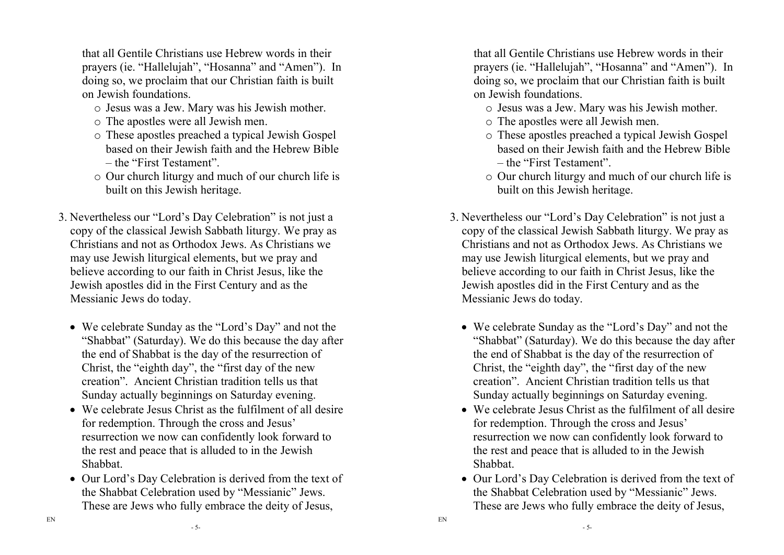that all Gentile Christians use Hebrew words in their prayers (ie. "Hallelujah", "Hosanna" and "Amen"). In doing so, we proclaim that our Christian faith is built on Jewish foundations.

- o Jesus was a Jew. Mary was his Jewish mother.
- o The apostles were all Jewish men.
- o These apostles preached a typical Jewish Gospel based on their Jewish faith and the Hebrew Bible – the "First Testament".
- o Our church liturgy and much of our church life is built on this Jewish heritage.
- 3. Nevertheless our "Lord's Day Celebration" is not just a copy of the classical Jewish Sabbath liturgy. We pray as Christians and not as Orthodox Jews. As Christians we may use Jewish liturgical elements, but we pray and believe according to our faith in Christ Jesus, like the Jewish apostles did in the First Century and as theMessianic Jews do today.
	- We celebrate Sunday as the "Lord's Day" and not the "Shabbat" (Saturday). We do this because the day after the end of Shabbat is the day of the resurrection of Christ, the "eighth day", the "first day of the new creation". Ancient Christian tradition tells us that Sunday actually beginnings on Saturday evening.
	- We celebrate Jesus Christ as the fulfilment of all desire for redemption. Through the cross and Jesus' resurrection we now can confidently look forward tothe rest and peace that is alluded to in the JewishShabbat.
	- Our Lord's Day Celebration is derived from the text of the Shabbat Celebration used by "Messianic" Jews. These are Jews who fully embrace the deity of Jesus,

that all Gentile Christians use Hebrew words in their prayers (ie. "Hallelujah", "Hosanna" and "Amen"). In doing so, we proclaim that our Christian faith is built on Jewish foundations.

- o Jesus was a Jew. Mary was his Jewish mother.
- o The apostles were all Jewish men.
- o These apostles preached a typical Jewish Gospel based on their Jewish faith and the Hebrew Bible – the "First Testament".
- o Our church liturgy and much of our church life is built on this Jewish heritage.
- 3. Nevertheless our "Lord's Day Celebration" is not just a copy of the classical Jewish Sabbath liturgy. We pray as Christians and not as Orthodox Jews. As Christians we may use Jewish liturgical elements, but we pray and believe according to our faith in Christ Jesus, like the Jewish apostles did in the First Century and as theMessianic Jews do today.
	- We celebrate Sunday as the "Lord's Day" and not the "Shabbat" (Saturday). We do this because the day after the end of Shabbat is the day of the resurrection of Christ, the "eighth day", the "first day of the new creation". Ancient Christian tradition tells us that Sunday actually beginnings on Saturday evening.
	- We celebrate Jesus Christ as the fulfilment of all desire for redemption. Through the cross and Jesus' resurrection we now can confidently look forward tothe rest and peace that is alluded to in the JewishShabbat.
	- Our Lord's Day Celebration is derived from the text of the Shabbat Celebration used by "Messianic" Jews. These are Jews who fully embrace the deity of Jesus,

- 5-

EN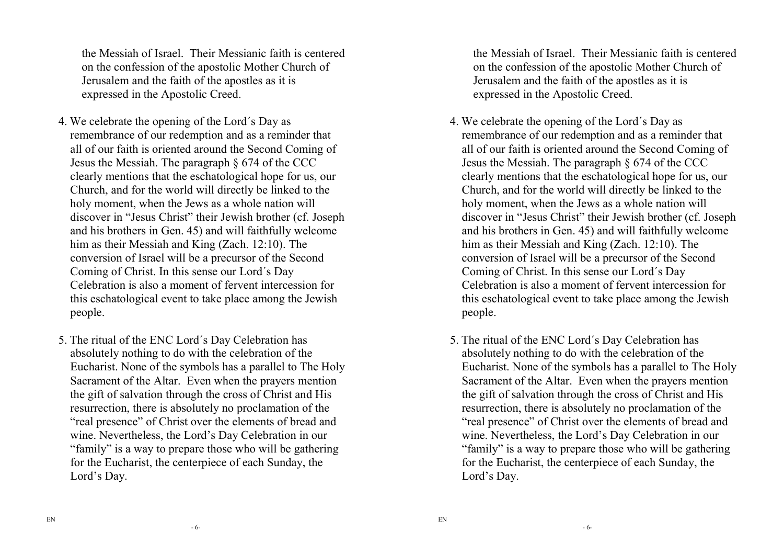the Messiah of Israel. Their Messianic faith is centered on the confession of the apostolic Mother Church ofJerusalem and the faith of the apostles as it is expressed in the Apostolic Creed.

- 4. We celebrate the opening of the Lord´s Day as remembrance of our redemption and as a reminder that all of our faith is oriented around the Second Coming of Jesus the Messiah. The paragraph § 674 of the CCC clearly mentions that the eschatological hope for us, our Church, and for the world will directly be linked to the holy moment, when the Jews as a whole nation will discover in "Jesus Christ" their Jewish brother (cf. Joseph and his brothers in Gen. 45) and will faithfully welcome him as their Messiah and King (Zach. 12:10). The conversion of Israel will be a precursor of the Second Coming of Christ. In this sense our Lord´s Day Celebration is also a moment of fervent intercession for this eschatological event to take place among the Jewish people.
- 5. The ritual of the ENC Lord´s Day Celebration has absolutely nothing to do with the celebration of the Eucharist. None of the symbols has a parallel to The Holy Sacrament of the Altar. Even when the prayers mention the gift of salvation through the cross of Christ and His resurrection, there is absolutely no proclamation of the "real presence" of Christ over the elements of bread and wine. Nevertheless, the Lord's Day Celebration in our "family" is a way to prepare those who will be gathering for the Eucharist, the centerpiece of each Sunday, the Lord's Day.

the Messiah of Israel. Their Messianic faith is centered on the confession of the apostolic Mother Church ofJerusalem and the faith of the apostles as it is expressed in the Apostolic Creed.

- 4. We celebrate the opening of the Lord´s Day as remembrance of our redemption and as a reminder that all of our faith is oriented around the Second Coming of Jesus the Messiah. The paragraph § 674 of the CCC clearly mentions that the eschatological hope for us, our Church, and for the world will directly be linked to the holy moment, when the Jews as a whole nation will discover in "Jesus Christ" their Jewish brother (cf. Joseph and his brothers in Gen. 45) and will faithfully welcome him as their Messiah and King (Zach. 12:10). The conversion of Israel will be a precursor of the Second Coming of Christ. In this sense our Lord´s Day Celebration is also a moment of fervent intercession for this eschatological event to take place among the Jewish people.
- 5. The ritual of the ENC Lord´s Day Celebration has absolutely nothing to do with the celebration of the Eucharist. None of the symbols has a parallel to The Holy Sacrament of the Altar. Even when the prayers mention the gift of salvation through the cross of Christ and His resurrection, there is absolutely no proclamation of the "real presence" of Christ over the elements of bread and wine. Nevertheless, the Lord's Day Celebration in our "family" is a way to prepare those who will be gathering for the Eucharist, the centerpiece of each Sunday, the Lord's Day.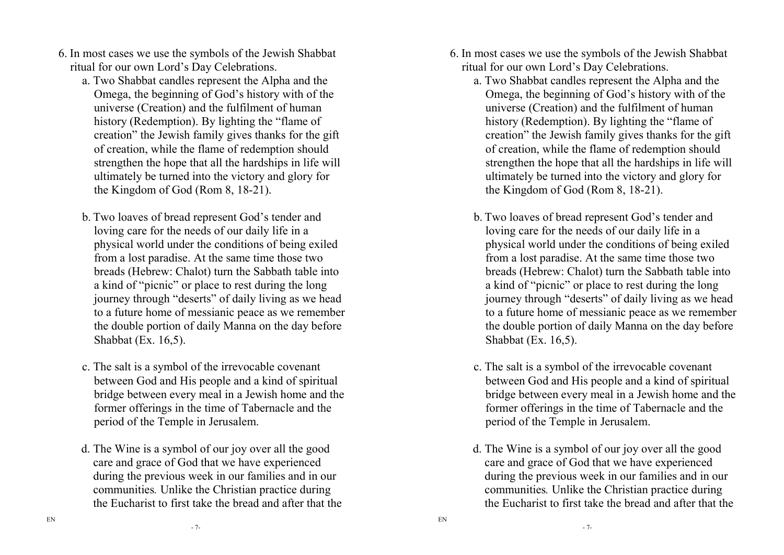- 6. In most cases we use the symbols of the Jewish Shabbat ritual for our own Lord's Day Celebrations.
	- a. Two Shabbat candles represent the Alpha and the Omega, the beginning of God's history with of the universe (Creation) and the fulfilment of human history (Redemption). By lighting the "flame of creation" the Jewish family gives thanks for the gift of creation, while the flame of redemption should strengthen the hope that all the hardships in life will ultimately be turned into the victory and glory forthe Kingdom of God (Rom 8, 18-21).
	- b. Two loaves of bread represent God's tender and loving care for the needs of our daily life in a physical world under the conditions of being exiledfrom a lost paradise. At the same time those two breads (Hebrew: Chalot) turn the Sabbath table intoa kind of "picnic" or place to rest during the long journey through "deserts" of daily living as we head to a future home of messianic peace as we remember the double portion of daily Manna on the day beforeShabbat (Ex. 16,5).
	- c. The salt is a symbol of the irrevocable covenant between God and His people and a kind of spiritual bridge between every meal in a Jewish home and the former offerings in the time of Tabernacle and the period of the Temple in Jerusalem.
	- d. The Wine is a symbol of our joy over all the good care and grace of God that we have experienced during the previous week in our families and in our communities*.* Unlike the Christian practice during the Eucharist to first take the bread and after that the
- 6. In most cases we use the symbols of the Jewish Shabbat ritual for our own Lord's Day Celebrations.
	- a. Two Shabbat candles represent the Alpha and the Omega, the beginning of God's history with of the universe (Creation) and the fulfilment of human history (Redemption). By lighting the "flame of creation" the Jewish family gives thanks for the gift of creation, while the flame of redemption should strengthen the hope that all the hardships in life will ultimately be turned into the victory and glory forthe Kingdom of God (Rom 8, 18-21).
	- b. Two loaves of bread represent God's tender and loving care for the needs of our daily life in a physical world under the conditions of being exiledfrom a lost paradise. At the same time those two breads (Hebrew: Chalot) turn the Sabbath table intoa kind of "picnic" or place to rest during the long journey through "deserts" of daily living as we head to a future home of messianic peace as we remember the double portion of daily Manna on the day beforeShabbat (Ex. 16,5).
	- c. The salt is a symbol of the irrevocable covenant between God and His people and a kind of spiritual bridge between every meal in a Jewish home and the former offerings in the time of Tabernacle and the period of the Temple in Jerusalem.
	- d. The Wine is a symbol of our joy over all the good care and grace of God that we have experienced during the previous week in our families and in our communities*.* Unlike the Christian practice during the Eucharist to first take the bread and after that the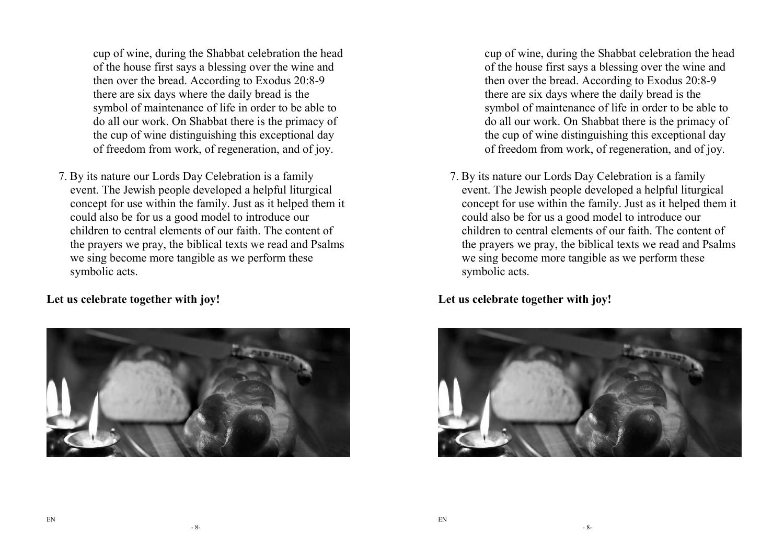cup of wine, during the Shabbat celebration the head of the house first says a blessing over the wine and then over the bread. According to Exodus 20:8-9 there are six days where the daily bread is the symbol of maintenance of life in order to be able to do all our work. On Shabbat there is the primacy of the cup of wine distinguishing this exceptional dayof freedom from work, of regeneration, and of joy.

7. By its nature our Lords Day Celebration is a family event. The Jewish people developed a helpful liturgical concept for use within the family. Just as it helped them it could also be for us a good model to introduce our children to central elements of our faith. The content of the prayers we pray, the biblical texts we read and Psalms we sing become more tangible as we perform these symbolic acts.

**Let us celebrate together with joy!** 



cup of wine, during the Shabbat celebration the head of the house first says a blessing over the wine and then over the bread. According to Exodus 20:8-9 there are six days where the daily bread is the symbol of maintenance of life in order to be able to do all our work. On Shabbat there is the primacy of the cup of wine distinguishing this exceptional dayof freedom from work, of regeneration, and of joy.

7. By its nature our Lords Day Celebration is a family event. The Jewish people developed a helpful liturgical concept for use within the family. Just as it helped them it could also be for us a good model to introduce our children to central elements of our faith. The content of the prayers we pray, the biblical texts we read and Psalms we sing become more tangible as we perform these symbolic acts.

**Let us celebrate together with joy!** 

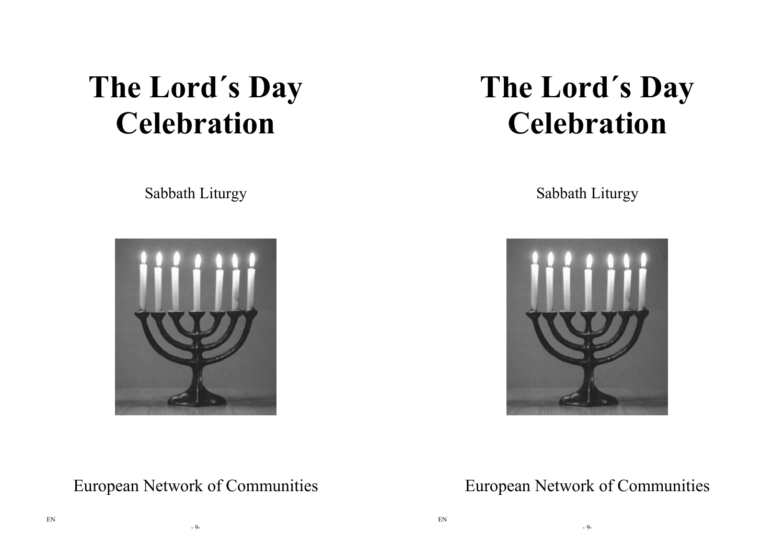# **The Lord´s Day Celebration**

Sabbath Liturgy



# **The Lord´s Day Celebration**

Sabbath Liturgy



European Network of Communities

European Network of Communities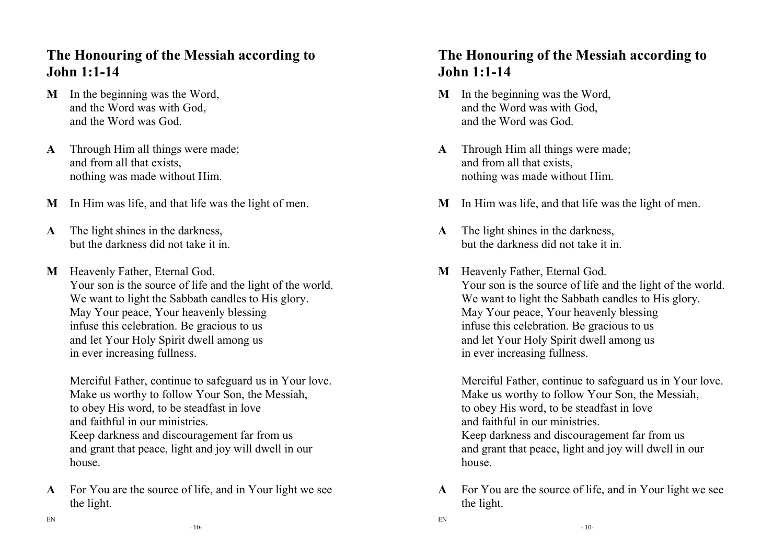#### **The Honouring of the Messiah according to John 1:1-14**

- **M** In the beginning was the Word, and the Word was with God, and the Word was God.
- **A** Through Him all things were made; and from all that exists, nothing was made without Him.
- **M** In Him was life, and that life was the light of men.
- **A** The light shines in the darkness, but the darkness did not take it in.
- **M** Heavenly Father, Eternal God. Your son is the source of life and the light of the world. We want to light the Sabbath candles to His glory. May Your peace, Your heavenly blessing infuse this celebration. Be gracious to us and let Your Holy Spirit dwell among us in ever increasing fullness.

Merciful Father, continue to safeguard us in Your love. Make us worthy to follow Your Son, the Messiah, to obey His word, to be steadfast in love and faithful in our ministries. Keep darkness and discouragement far from us and grant that peace, light and joy will dwell in our house.

**A** For You are the source of life, and in Your light we see the light.

#### **The Honouring of the Messiah according to John 1:1-14**

- **M** In the beginning was the Word, and the Word was with God, and the Word was God.
- **A** Through Him all things were made; and from all that exists, nothing was made without Him.
- **M** In Him was life, and that life was the light of men.
- **A** The light shines in the darkness, but the darkness did not take it in.
- **M** Heavenly Father, Eternal God. Your son is the source of life and the light of the world. We want to light the Sabbath candles to His glory. May Your peace, Your heavenly blessing infuse this celebration. Be gracious to us and let Your Holy Spirit dwell among us in ever increasing fullness.

Merciful Father, continue to safeguard us in Your love. Make us worthy to follow Your Son, the Messiah, to obey His word, to be steadfast in love and faithful in our ministries. Keep darkness and discouragement far from us and grant that peace, light and joy will dwell in our house.

**A** For You are the source of life, and in Your light we see the light.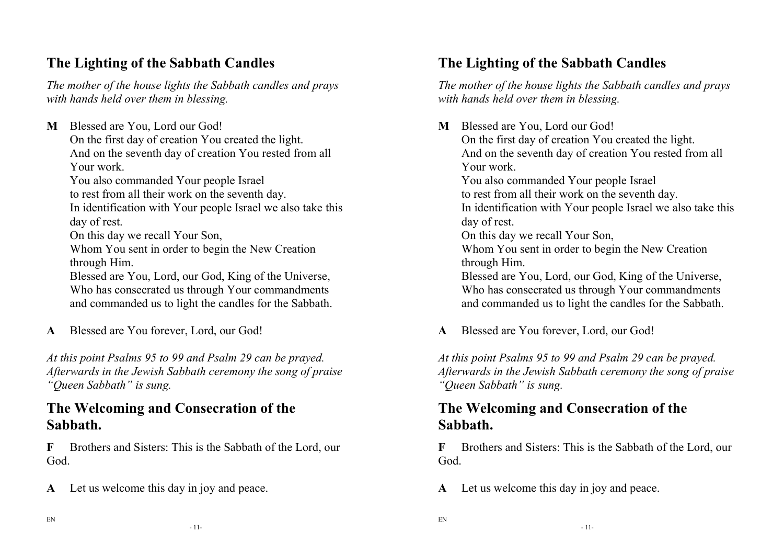## **The Lighting of the Sabbath Candles**

*The mother of the house lights the Sabbath candles and prays with hands held over them in blessing.* 

**M** Blessed are You, Lord our God! On the first day of creation You created the light. And on the seventh day of creation You rested from all Your work. You also commanded Your people Israel

to rest from all their work on the seventh day.

 In identification with Your people Israel we also take this day of rest.

On this day we recall Your Son,

 Whom You sent in order to begin the New Creation through Him.

Blessed are You, Lord, our God, King of the Universe, Who has consecrated us through Your commandments and commanded us to light the candles for the Sabbath.

**A** Blessed are You forever, Lord, our God!

*At this point Psalms 95 to 99 and Psalm 29 can be prayed. Afterwards in the Jewish Sabbath ceremony the song of praise "Queen Sabbath" is sung.*

#### **The Welcoming and Consecration of the Sabbath.**

**F** Brothers and Sisters: This is the Sabbath of the Lord, our God.

**A** Let us welcome this day in joy and peace.

## **The Lighting of the Sabbath Candles**

*The mother of the house lights the Sabbath candles and prays with hands held over them in blessing.* 

**M** Blessed are You, Lord our God! On the first day of creation You created the light. And on the seventh day of creation You rested from all Your work. You also commanded Your people Israel to rest from all their work on the seventh day. In identification with Your people Israel we also take this day of rest. On this day we recall Your Son, Whom You sent in order to begin the New Creation through Him. Blessed are You, Lord, our God, King of the Universe, Who has consecrated us through Your commandments and commanded us to light the candles for the Sabbath.

**A** Blessed are You forever, Lord, our God!

*At this point Psalms 95 to 99 and Psalm 29 can be prayed. Afterwards in the Jewish Sabbath ceremony the song of praise "Queen Sabbath" is sung.*

#### **The Welcoming and Consecration of the Sabbath.**

**F** Brothers and Sisters: This is the Sabbath of the Lord, our God.

**A** Let us welcome this day in joy and peace.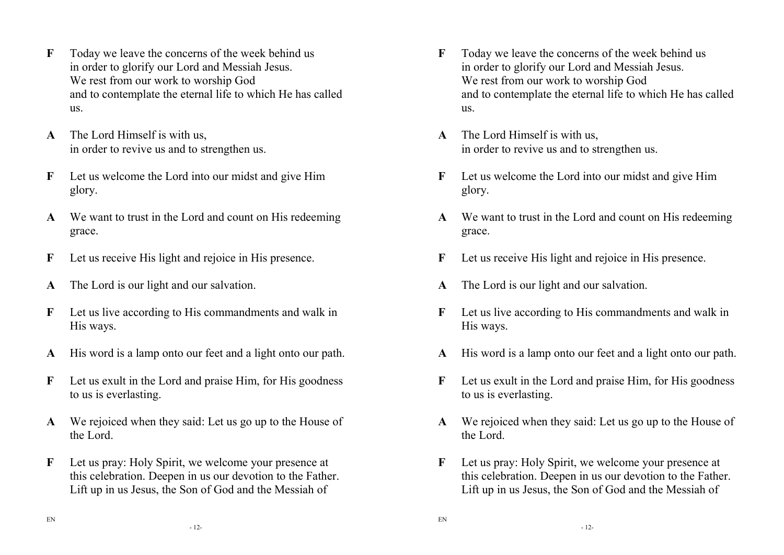- **F** Today we leave the concerns of the week behind us in order to glorify our Lord and Messiah Jesus. We rest from our work to worship God and to contemplate the eternal life to which He has called us.
- **A** The Lord Himself is with us, in order to revive us and to strengthen us.
- **F** Let us welcome the Lord into our midst and give Him glory.
- **A** We want to trust in the Lord and count on His redeeming grace.
- **F** Let us receive His light and rejoice in His presence.
- **A** The Lord is our light and our salvation.
- **F** Let us live according to His commandments and walk in His ways.
- **A** His word is a lamp onto our feet and a light onto our path.
- **F** Let us exult in the Lord and praise Him, for His goodness to us is everlasting.
- **A** We rejoiced when they said: Let us go up to the House of the Lord.
- **F** Let us pray: Holy Spirit, we welcome your presence at this celebration. Deepen in us our devotion to the Father. Lift up in us Jesus, the Son of God and the Messiah of
- **F** Today we leave the concerns of the week behind us in order to glorify our Lord and Messiah Jesus. We rest from our work to worship God and to contemplate the eternal life to which He has called us.
- **A** The Lord Himself is with us, in order to revive us and to strengthen us.
- **F** Let us welcome the Lord into our midst and give Him glory.
- **A** We want to trust in the Lord and count on His redeeming grace.
- **F** Let us receive His light and rejoice in His presence.
- **A** The Lord is our light and our salvation.
- **F** Let us live according to His commandments and walk in His ways.
- **A** His word is a lamp onto our feet and a light onto our path.
- **F** Let us exult in the Lord and praise Him, for His goodness to us is everlasting.
- **A** We rejoiced when they said: Let us go up to the House of the Lord.
- **F** Let us pray: Holy Spirit, we welcome your presence at this celebration. Deepen in us our devotion to the Father. Lift up in us Jesus, the Son of God and the Messiah of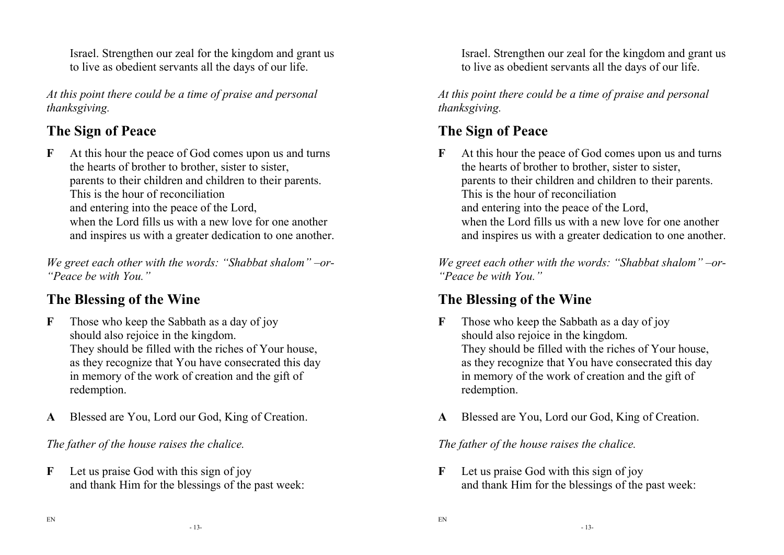Israel. Strengthen our zeal for the kingdom and grant us to live as obedient servants all the days of our life.

*At this point there could be a time of praise and personal thanksgiving.* 

### **The Sign of Peace**

**F** At this hour the peace of God comes upon us and turns the hearts of brother to brother, sister to sister,parents to their children and children to their parents. This is the hour of reconciliation and entering into the peace of the Lord, when the Lord fills us with a new love for one another and inspires us with a greater dedication to one another.

*We greet each other with the words: "Shabbat shalom" –or- "Peace be with You."* 

# **The Blessing of the Wine**

- **F** Those who keep the Sabbath as a day of joy should also rejoice in the kingdom. They should be filled with the riches of Your house, as they recognize that You have consecrated this day in memory of the work of creation and the gift of redemption.
- **A** Blessed are You, Lord our God, King of Creation.

*The father of the house raises the chalice.* 

**F** Let us praise God with this sign of joy and thank Him for the blessings of the past week: Israel. Strengthen our zeal for the kingdom and grant us to live as obedient servants all the days of our life.

*At this point there could be a time of praise and personal thanksgiving.* 

## **The Sign of Peace**

**F** At this hour the peace of God comes upon us and turns the hearts of brother to brother, sister to sister, parents to their children and children to their parents. This is the hour of reconciliation and entering into the peace of the Lord, when the Lord fills us with a new love for one another and inspires us with a greater dedication to one another.

*We greet each other with the words: "Shabbat shalom" –or- "Peace be with You."* 

## **The Blessing of the Wine**

- **F** Those who keep the Sabbath as a day of joy should also rejoice in the kingdom. They should be filled with the riches of Your house, as they recognize that You have consecrated this day in memory of the work of creation and the gift of redemption.
- **A** Blessed are You, Lord our God, King of Creation.

*The father of the house raises the chalice.* 

**F** Let us praise God with this sign of joy and thank Him for the blessings of the past week:

EN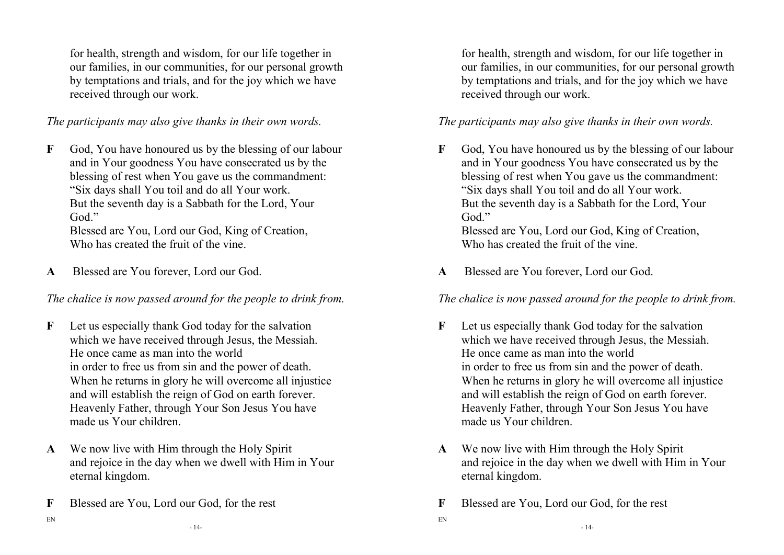for health, strength and wisdom, for our life together in our families, in our communities, for our personal growth by temptations and trials, and for the joy which we have received through our work.

*The participants may also give thanks in their own words.* 

**F** God, You have honoured us by the blessing of our labour and in Your goodness You have consecrated us by the blessing of rest when You gave us the commandment:"Six days shall You toil and do all Your work. But the seventh day is a Sabbath for the Lord, YourGod<sup>"</sup>

 Blessed are You, Lord our God, King of Creation, Who has created the fruit of the vine.

**A** Blessed are You forever, Lord our God.

*The chalice is now passed around for the people to drink from.* 

- **F** Let us especially thank God today for the salvation which we have received through Jesus, the Messiah. He once came as man into the world in order to free us from sin and the power of death. When he returns in glory he will overcome all injustice and will establish the reign of God on earth forever. Heavenly Father, through Your Son Jesus You have made us Your children.
- **A** We now live with Him through the Holy Spirit and rejoice in the day when we dwell with Him in Your eternal kingdom.
- **F** Blessed are You, Lord our God, for the rest

for health, strength and wisdom, for our life together in our families, in our communities, for our personal growth by temptations and trials, and for the joy which we have received through our work.

*The participants may also give thanks in their own words.* 

- **F** God, You have honoured us by the blessing of our labour and in Your goodness You have consecrated us by the blessing of rest when You gave us the commandment:"Six days shall You toil and do all Your work. But the seventh day is a Sabbath for the Lord, YourGod<sup>"</sup> Blessed are You, Lord our God, King of Creation, Who has created the fruit of the vine.
- **A** Blessed are You forever, Lord our God.

*The chalice is now passed around for the people to drink from.* 

- **F** Let us especially thank God today for the salvation which we have received through Jesus, the Messiah. He once came as man into the world in order to free us from sin and the power of death. When he returns in glory he will overcome all injustice and will establish the reign of God on earth forever. Heavenly Father, through Your Son Jesus You have made us Your children.
- **A** We now live with Him through the Holy Spirit and rejoice in the day when we dwell with Him in Your eternal kingdom.
- **F** Blessed are You, Lord our God, for the rest

EN

EN

- 14-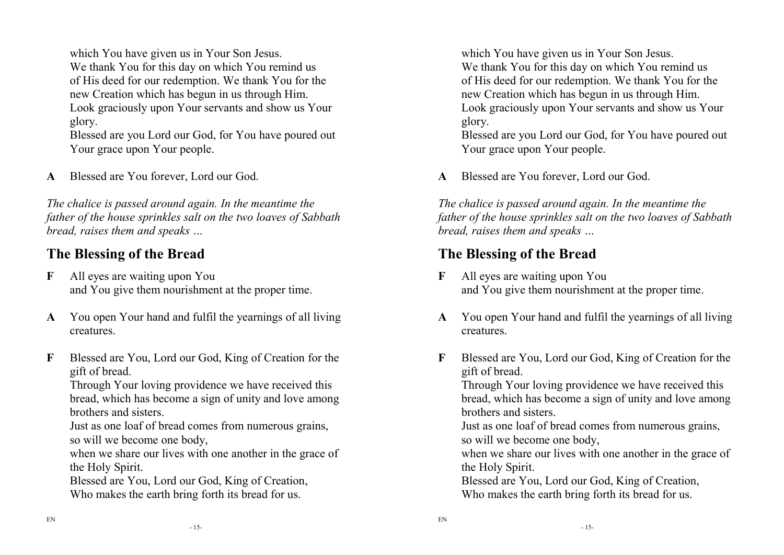which You have given us in Your Son Jesus. We thank You for this day on which You remind us of His deed for our redemption. We thank You for the new Creation which has begun in us through Him. Look graciously upon Your servants and show us Yourglory.

 Blessed are you Lord our God, for You have poured out Your grace upon Your people.

**A** Blessed are You forever, Lord our God.

*The chalice is passed around again. In the meantime the father of the house sprinkles salt on the two loaves of Sabbath bread, raises them and speaks …* 

#### **The Blessing of the Bread**

- **F** All eyes are waiting upon You and You give them nourishment at the proper time.
- **A** You open Your hand and fulfil the yearnings of all living creatures.
- **F** Blessed are You, Lord our God, King of Creation for the gift of bread.

 Through Your loving providence we have received this bread, which has become a sign of unity and love among brothers and sisters.

Just as one loaf of bread comes from numerous grains, so will we become one body,

 when we share our lives with one another in the grace of the Holy Spirit.

Blessed are You, Lord our God, King of Creation,

Who makes the earth bring forth its bread for us.

which You have given us in Your Son Jesus. We thank You for this day on which You remind us of His deed for our redemption. We thank You for the new Creation which has begun in us through Him. Look graciously upon Your servants and show us Yourglory.

 Blessed are you Lord our God, for You have poured out Your grace upon Your people.

**A** Blessed are You forever, Lord our God.

*The chalice is passed around again. In the meantime the father of the house sprinkles salt on the two loaves of Sabbath bread, raises them and speaks …* 

#### **The Blessing of the Bread**

- **F** All eyes are waiting upon You and You give them nourishment at the proper time.
- **A** You open Your hand and fulfil the yearnings of all living creatures.
- **F** Blessed are You, Lord our God, King of Creation for the gift of bread.

 Through Your loving providence we have received this bread, which has become a sign of unity and love among brothers and sisters.

Just as one loaf of bread comes from numerous grains, so will we become one body,

 when we share our lives with one another in the grace of the Holy Spirit.

Blessed are You, Lord our God, King of Creation, Who makes the earth bring forth its bread for us.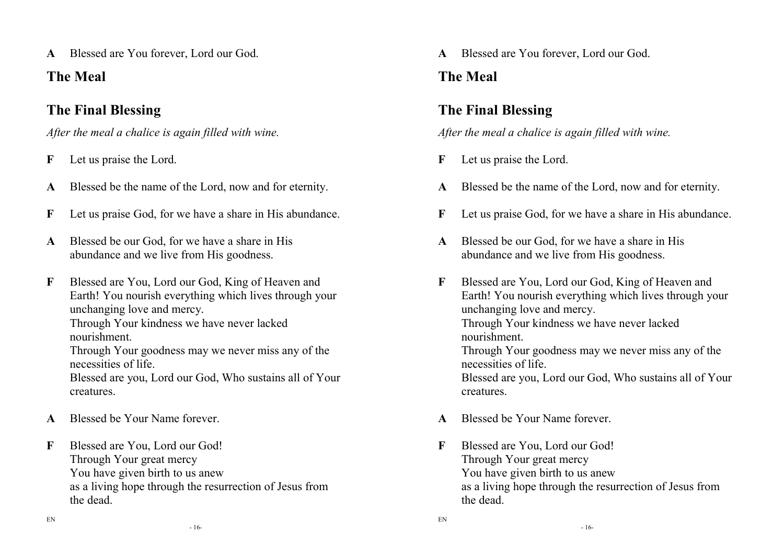**A** Blessed are You forever, Lord our God.

## **The Meal**

# **The Final Blessing**

*After the meal a chalice is again filled with wine.*

- **F** Let us praise the Lord.
- **A** Blessed be the name of the Lord, now and for eternity.
- **F** Let us praise God, for we have a share in His abundance.
- **A** Blessed be our God, for we have a share in His abundance and we live from His goodness.
- **F** Blessed are You, Lord our God, King of Heaven and Earth! You nourish everything which lives through your unchanging love and mercy. Through Your kindness we have never lacked

nourishment.

 Through Your goodness may we never miss any of the necessities of life.

Blessed are you, Lord our God, Who sustains all of Yourcreatures.

- **A** Blessed be Your Name forever.
- **F** Blessed are You, Lord our God! Through Your great mercy You have given birth to us anew as a living hope through the resurrection of Jesus from the dead.

**A** Blessed are You forever, Lord our God.

# **The Meal**

# **The Final Blessing**

*After the meal a chalice is again filled with wine.*

- **F** Let us praise the Lord.
- **A** Blessed be the name of the Lord, now and for eternity.
- **F** Let us praise God, for we have a share in His abundance.
- **A** Blessed be our God, for we have a share in His abundance and we live from His goodness.
- **F** Blessed are You, Lord our God, King of Heaven and Earth! You nourish everything which lives through your unchanging love and mercy. Through Your kindness we have never lacked nourishment. Through Your goodness may we never miss any of the necessities of life. Blessed are you, Lord our God, Who sustains all of Your

**A** Blessed be Your Name forever.

creatures.

EN

**F** Blessed are You, Lord our God! Through Your great mercy You have given birth to us anew as a living hope through the resurrection of Jesus from the dead.

- 16-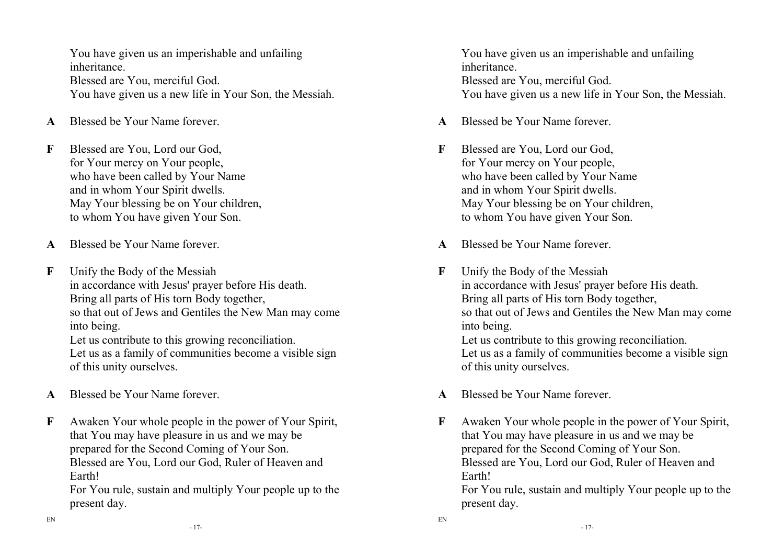You have given us an imperishable and unfailing inheritance. Blessed are You, merciful God. You have given us a new life in Your Son, the Messiah.

- **A** Blessed be Your Name forever.
- **F** Blessed are You, Lord our God, for Your mercy on Your people, who have been called by Your Name and in whom Your Spirit dwells. May Your blessing be on Your children, to whom You have given Your Son.
- **A** Blessed be Your Name forever.
- **F** Unify the Body of the Messiah in accordance with Jesus' prayer before His death. Bring all parts of His torn Body together, so that out of Jews and Gentiles the New Man may come into being.

Let us contribute to this growing reconciliation. Let us as a family of communities become a visible sign of this unity ourselves.

- **A** Blessed be Your Name forever.
- **F** Awaken Your whole people in the power of Your Spirit, that You may have pleasure in us and we may be prepared for the Second Coming of Your Son. Blessed are You, Lord our God, Ruler of Heaven and Earth!

For You rule, sustain and multiply Your people up to the present day.

You have given us an imperishable and unfailing inheritance. Blessed are You, merciful God. You have given us a new life in Your Son, the Messiah.

- **A** Blessed be Your Name forever.
- **F** Blessed are You, Lord our God, for Your mercy on Your people, who have been called by Your Name and in whom Your Spirit dwells. May Your blessing be on Your children, to whom You have given Your Son.
- **A** Blessed be Your Name forever.
- **F** Unify the Body of the Messiah in accordance with Jesus' prayer before His death. Bring all parts of His torn Body together, so that out of Jews and Gentiles the New Man may come into being. Let us contribute to this growing reconciliation. Let us as a family of communities become a visible sign
	- of this unity ourselves.
- **A** Blessed be Your Name forever.

EN

**F** Awaken Your whole people in the power of Your Spirit, that You may have pleasure in us and we may be prepared for the Second Coming of Your Son. Blessed are You, Lord our God, Ruler of Heaven and Earth!

For You rule, sustain and multiply Your people up to the present day.